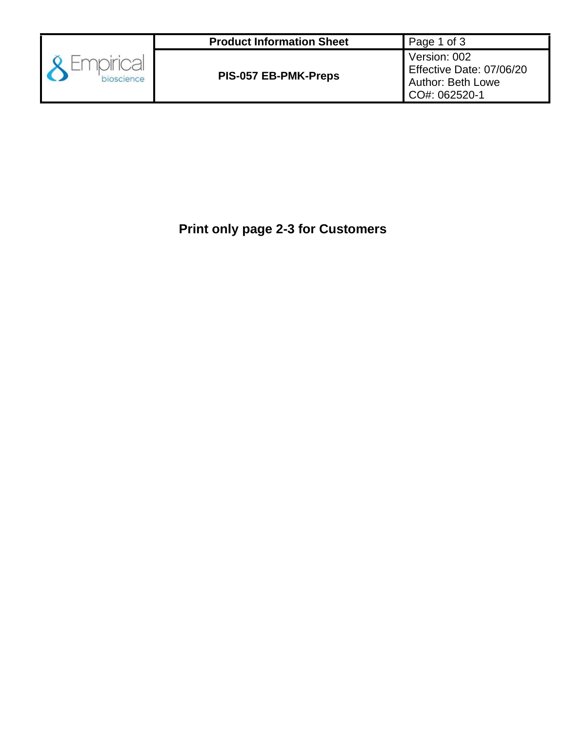

# **Print only page 2-3 for Customers**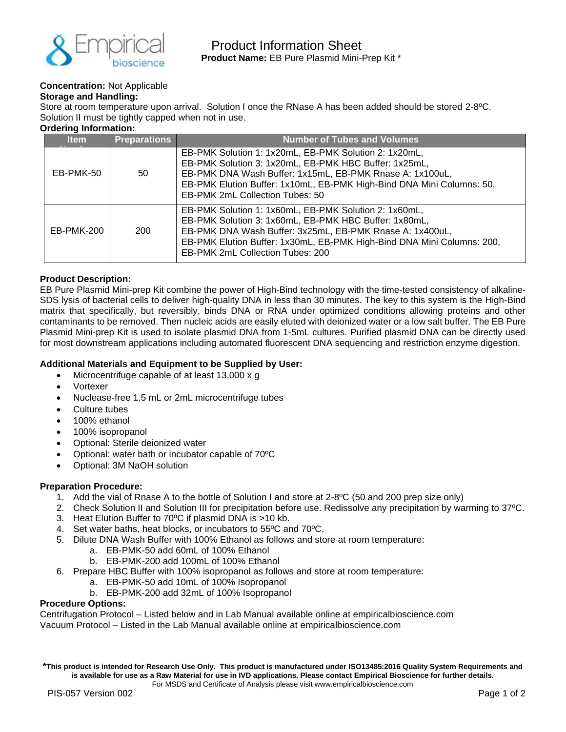

# **Concentration:** Not Applicable

#### **Storage and Handling:**

Store at room temperature upon arrival. Solution I once the RNase A has been added should be stored 2-8ºC. Solution II must be tightly capped when not in use.

# **Ordering Information:**

| <b>Item</b>                          | <b>Preparations</b> | <b>Number of Tubes and Volumes</b>                                                                                                                                                                                                                                                       |  |
|--------------------------------------|---------------------|------------------------------------------------------------------------------------------------------------------------------------------------------------------------------------------------------------------------------------------------------------------------------------------|--|
| EB-PMK-50<br>50<br>EB-PMK-200<br>200 |                     | EB-PMK Solution 1: 1x20mL, EB-PMK Solution 2: 1x20mL,<br>EB-PMK Solution 3: 1x20mL, EB-PMK HBC Buffer: 1x25mL,<br>EB-PMK DNA Wash Buffer: 1x15mL, EB-PMK Rnase A: 1x100uL,<br>EB-PMK Elution Buffer: 1x10mL, EB-PMK High-Bind DNA Mini Columns: 50,<br>EB-PMK 2mL Collection Tubes: 50   |  |
|                                      |                     | EB-PMK Solution 1: 1x60mL, EB-PMK Solution 2: 1x60mL,<br>EB-PMK Solution 3: 1x60mL, EB-PMK HBC Buffer: 1x80mL,<br>EB-PMK DNA Wash Buffer: 3x25mL, EB-PMK Rnase A: 1x400uL,<br>EB-PMK Elution Buffer: 1x30mL, EB-PMK High-Bind DNA Mini Columns: 200,<br>EB-PMK 2mL Collection Tubes: 200 |  |

## **Product Description:**

EB Pure Plasmid Mini-prep Kit combine the power of High-Bind technology with the time-tested consistency of alkaline-SDS lysis of bacterial cells to deliver high-quality DNA in less than 30 minutes. The key to this system is the High-Bind matrix that specifically, but reversibly, binds DNA or RNA under optimized conditions allowing proteins and other contaminants to be removed. Then nucleic acids are easily eluted with deionized water or a low salt buffer. The EB Pure Plasmid Mini-prep Kit is used to isolate plasmid DNA from 1-5mL cultures. Purified plasmid DNA can be directly used for most downstream applications including automated fluorescent DNA sequencing and restriction enzyme digestion.

## **Additional Materials and Equipment to be Supplied by User:**

- Microcentrifuge capable of at least 13,000 x g
- Vortexer
- Nuclease-free 1.5 mL or 2mL microcentrifuge tubes
- Culture tubes
- 100% ethanol
- 100% isopropanol
- Optional: Sterile deionized water
- Optional: water bath or incubator capable of 70ºC
- Optional: 3M NaOH solution

#### **Preparation Procedure:**

- 1. Add the vial of Rnase A to the bottle of Solution I and store at 2-8ºC (50 and 200 prep size only)
- 2. Check Solution II and Solution III for precipitation before use. Redissolve any precipitation by warming to 37ºC.
- 3. Heat Elution Buffer to 70ºC if plasmid DNA is >10 kb.
- 4. Set water baths, heat blocks, or incubators to 55ºC and 70ºC.
- 5. Dilute DNA Wash Buffer with 100% Ethanol as follows and store at room temperature:
	- a. EB-PMK-50 add 60mL of 100% Ethanol
	- b. EB-PMK-200 add 100mL of 100% Ethanol
- 6. Prepare HBC Buffer with 100% isopropanol as follows and store at room temperature:
	- a. EB-PMK-50 add 10mL of 100% Isopropanol
	- b. EB-PMK-200 add 32mL of 100% Isopropanol

#### **Procedure Options:**

Centrifugation Protocol – Listed below and in Lab Manual available online at empiricalbioscience.com Vacuum Protocol – Listed in the Lab Manual available online at empiricalbioscience.com

**\*This product is intended for Research Use Only. This product is manufactured under ISO13485:2016 Quality System Requirements and is available for use as a Raw Material for use in IVD applications. Please contact Empirical Bioscience for further details.** For MSDS and Certificate of Analysis please visit www.empiricalbioscience.com